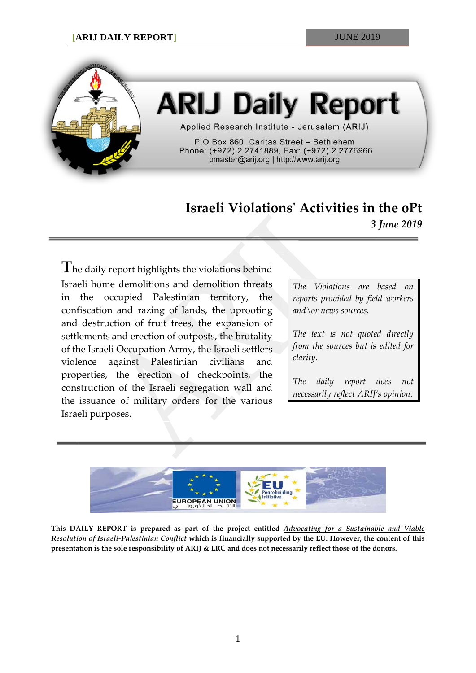

# **ARIJ Daily Report**

Applied Research Institute - Jerusalem (ARIJ)

P.O Box 860, Caritas Street - Bethlehem Phone: (+972) 2 2741889, Fax: (+972) 2 2776966 pmaster@arij.org | http://www.arij.org

# **Israeli Violations' Activities in the oPt** *3 June 2019*

**T**he daily report highlights the violations behind Israeli home demolitions and demolition threats in the occupied Palestinian territory, the confiscation and razing of lands, the uprooting and destruction of fruit trees, the expansion of settlements and erection of outposts, the brutality of the Israeli Occupation Army, the Israeli settlers violence against Palestinian civilians and properties, the erection of checkpoints, the construction of the Israeli segregation wall and the issuance of military orders for the various Israeli purposes.

*The Violations are based on reports provided by field workers and\or news sources.*

*The text is not quoted directly from the sources but is edited for clarity.*

*The daily report does not necessarily reflect ARIJ's opinion.*



**This DAILY REPORT is prepared as part of the project entitled** *Advocating for a Sustainable and Viable Resolution of Israeli-Palestinian Conflict* **which is financially supported by the EU. However, the content of this presentation is the sole responsibility of ARIJ & LRC and does not necessarily reflect those of the donors.**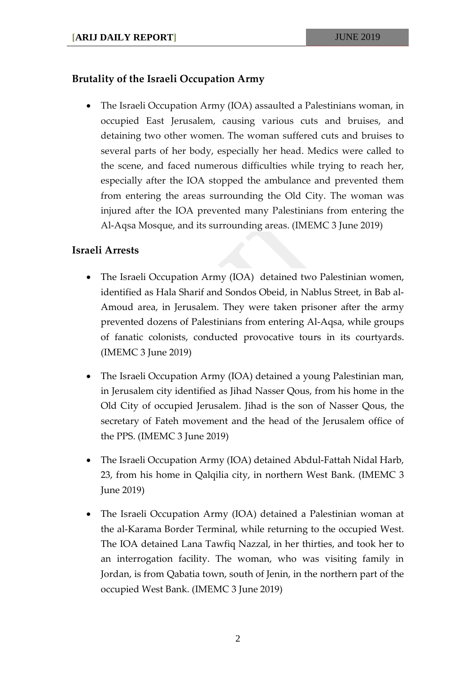## **Brutality of the Israeli Occupation Army**

• The Israeli Occupation Army (IOA) assaulted a Palestinians woman, in occupied East Jerusalem, causing various cuts and bruises, and detaining two other women. The woman suffered cuts and bruises to several parts of her body, especially her head. Medics were called to the scene, and faced numerous difficulties while trying to reach her, especially after the IOA stopped the ambulance and prevented them from entering the areas surrounding the Old City. The woman was injured after the IOA prevented many Palestinians from entering the Al-Aqsa Mosque, and its surrounding areas. (IMEMC 3 June 2019)

#### **Israeli Arrests**

- The Israeli Occupation Army (IOA) detained two Palestinian women, identified as Hala Sharif and Sondos Obeid, in Nablus Street, in Bab al-Amoud area, in Jerusalem. They were taken prisoner after the army prevented dozens of Palestinians from entering Al-Aqsa, while groups of fanatic colonists, conducted provocative tours in its courtyards. (IMEMC 3 June 2019)
- The Israeli Occupation Army (IOA) detained a young Palestinian man, in Jerusalem city identified as Jihad Nasser Qous, from his home in the Old City of occupied Jerusalem. Jihad is the son of Nasser Qous, the secretary of Fateh movement and the head of the Jerusalem office of the PPS. (IMEMC 3 June 2019)
- The Israeli Occupation Army (IOA) detained Abdul-Fattah Nidal Harb, 23, from his home in Qalqilia city, in northern West Bank. (IMEMC 3 June 2019)
- The Israeli Occupation Army (IOA) detained a Palestinian woman at the al-Karama Border Terminal, while returning to the occupied West. The IOA detained Lana Tawfiq Nazzal, in her thirties, and took her to an interrogation facility. The woman, who was visiting family in Jordan, is from Qabatia town, south of Jenin, in the northern part of the occupied West Bank. (IMEMC 3 June 2019)